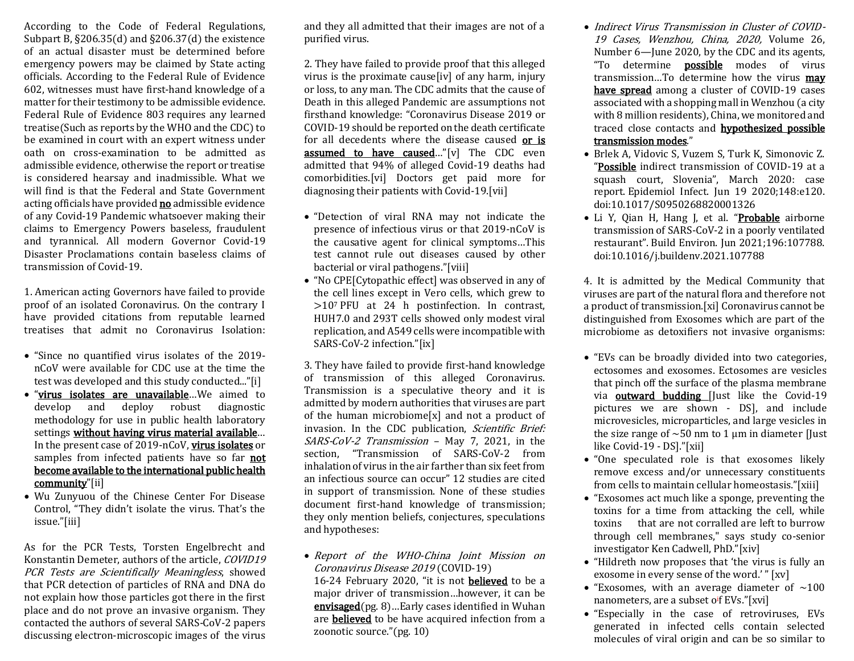According to the Code of Federal Regulations, Subpart B, §206.35(d) and §206.37(d) the existence of an actual disaster must be determined before emergency powers may be claimed by State acting officials. According to the Federal Rule of Evidence 602, witnesses must have first-hand knowledge of a matter for their testimony to be admissible evidence. Federal Rule of Evidence 803 requires any learned treatise(Such as reports by the WHO and the CDC) to be examined in court with an expert witness under oath on cross-examination to be admitted as admissible evidence, otherwise the report or treatise is considered hearsay and inadmissible. What we will find is that the Federal and State Government acting officials have provided **no** admissible evidence of any Covid-19 Pandemic whatsoever making their claims to Emergency Powers baseless, fraudulent and tyrannical. All modern Governor Covid-19 Disaster Proclamations contain baseless claims of transmission of Covid-19.

1. American acting Governors have failed to provide proof of an isolated Coronavirus. On the contrary I have provided citations from reputable learned treatises that admit no Coronavirus Isolation:

- "Since no quantified virus isolates of the 2019 nCoV were available for CDC use at the time the test was developed and this study conducted..."[i]
- "virus isolates are unavailable…We aimed to develop and deploy robust diagnostic methodology for use in public health laboratory settings without having virus material available… In the present case of 2019-nCoV, virus isolates or samples from infected patients have so far **not** become available to the international public health community"[ii]
- Wu Zunyuou of the Chinese Center For Disease Control, "They didn't isolate the virus. That's the issue."[iii]

As for the PCR Tests, Torsten Engelbrecht and Konstantin Demeter, authors of the article, COVID19 PCR Tests are Scientifically Meaningless, showed that PCR detection of particles of RNA and DNA do not explain how those particles got there in the first place and do not prove an invasive organism. They contacted the authors of several SARS-CoV-2 papers discussing electron-microscopic images of the virus

and they all admitted that their images are not of a purified virus.

2. They have failed to provide proof that this alleged virus is the proximate cause[iv] of any harm, injury or loss, to any man. The CDC admits that the cause of Death in this alleged Pandemic are assumptions not firsthand knowledge: "Coronavirus Disease 2019 or COVID-19 should be reported on the death certificate for all decedents where the disease caused or is assumed to have caused…"[v] The CDC even admitted that 94% of alleged Covid-19 deaths had comorbidities.[vi] Doctors get paid more for diagnosing their patients with Covid-19.[vii]

- "Detection of viral RNA may not indicate the presence of infectious virus or that 2019-nCoV is the causative agent for clinical symptoms…This test cannot rule out diseases caused by other bacterial or viral pathogens."[viii]
- "No CPE[Cytopathic effect] was observed in any of the cell lines except in Vero cells, which grew to >10<sup>7</sup> PFU at 24 h postinfection. In contrast, HUH7.0 and 293T cells showed only modest viral replication, and A549 cells were incompatible with SARS-CoV-2 infection."[ix]

3. They have failed to provide first-hand knowledge of transmission of this alleged Coronavirus. Transmission is a speculative theory and it is admitted by modern authorities that viruses are part of the human microbiome[x] and not a product of invasion. In the CDC publication, Scientific Brief: SARS-CoV-2 Transmission – May 7, 2021, in the section, "Transmission of SARS-CoV-2 from inhalation of virus in the air farther than six feet from an infectious source can occur" 12 studies are cited in support of transmission. None of these studies document first-hand knowledge of transmission; they only mention beliefs, conjectures, speculations and hypotheses:

• Report of the WHO-China Joint Mission on Coronavirus Disease 2019 (COVID-19) 16-24 February 2020, "it is not **believed** to be a major driver of transmission…however, it can be envisaged(pg. 8)…Early cases identified in Wuhan are believed to be have acquired infection from a zoonotic source."(pg. 10)

- Indirect Virus Transmission in Cluster of COVID-19 Cases, Wenzhou, China, 2020, Volume 26, Number 6—June 2020, by the CDC and its agents, "To determine **possible** modes of virus transmission…To determine how the virus may have spread among a cluster of COVID-19 cases associated with a shopping mall in Wenzhou (a city with 8 million residents), China, we monitored and traced close contacts and hypothesized possible transmission modes."
- Brlek A, Vidovic S, Vuzem S, Turk K, Simonovic Z. "Possible indirect transmission of COVID-19 at a squash court, Slovenia", March 2020: case report. Epidemiol Infect. Jun 19 2020;148:e120. doi:10.1017/S0950268820001326
- Li Y, Qian H, Hang J, et al. "Probable airborne transmission of SARS-CoV-2 in a poorly ventilated restaurant". Build Environ. Jun 2021;196:107788. doi:10.1016/j.buildenv.2021.107788

4. It is admitted by the Medical Community that viruses are part of the natural flora and therefore not a product of transmission.[xi] Coronavirus cannot be distinguished from Exosomes which are part of the microbiome as detoxifiers not invasive organisms:

- "EVs can be broadly divided into two categories, ectosomes and exosomes. Ectosomes are vesicles that pinch off the surface of the plasma membrane via **outward budding** [Just like the Covid-19 pictures we are shown - DS], and include microvesicles, microparticles, and large vesicles in the size range of  $\sim$  50 nm to 1 µm in diameter [Just] like Covid-19 - DS]."[xii]
- "One speculated role is that exosomes likely remove excess and/or unnecessary constituents from cells to maintain cellular homeostasis."[xiii]
- "Exosomes act much like a sponge, preventing the toxins for a time from attacking the cell, while toxins that are not corralled are left to burrow through cell membranes," says study co-senior investigator Ken Cadwell, PhD."[xiv]
- "Hildreth now proposes that 'the virus is fully an exosome in every sense of the word.' " [xv]
- "Exosomes, with an average diameter of  $\sim$ 100 nanometers, are a subset o<sup>i</sup>f EVs."[xvi]
- "Especially in the case of retroviruses, EVs generated in infected cells contain selected molecules of viral origin and can be so similar to